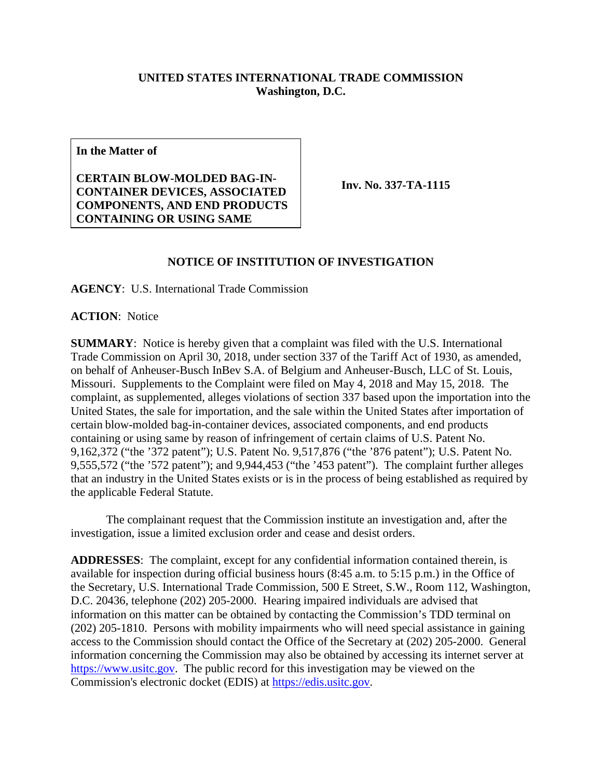## **UNITED STATES INTERNATIONAL TRADE COMMISSION Washington, D.C.**

**In the Matter of**

**CERTAIN BLOW-MOLDED BAG-IN-CONTAINER DEVICES, ASSOCIATED COMPONENTS, AND END PRODUCTS CONTAINING OR USING SAME**

**Inv. No. 337-TA-1115**

## **NOTICE OF INSTITUTION OF INVESTIGATION**

**AGENCY**: U.S. International Trade Commission

**ACTION**: Notice

**SUMMARY**: Notice is hereby given that a complaint was filed with the U.S. International Trade Commission on April 30, 2018, under section 337 of the Tariff Act of 1930, as amended, on behalf of Anheuser-Busch InBev S.A. of Belgium and Anheuser-Busch, LLC of St. Louis, Missouri. Supplements to the Complaint were filed on May 4, 2018 and May 15, 2018. The complaint, as supplemented, alleges violations of section 337 based upon the importation into the United States, the sale for importation, and the sale within the United States after importation of certain blow-molded bag-in-container devices, associated components, and end products containing or using same by reason of infringement of certain claims of U.S. Patent No. 9,162,372 ("the '372 patent"); U.S. Patent No. 9,517,876 ("the '876 patent"); U.S. Patent No. 9,555,572 ("the '572 patent"); and 9,944,453 ("the '453 patent"). The complaint further alleges that an industry in the United States exists or is in the process of being established as required by the applicable Federal Statute.

The complainant request that the Commission institute an investigation and, after the investigation, issue a limited exclusion order and cease and desist orders.

**ADDRESSES**: The complaint, except for any confidential information contained therein, is available for inspection during official business hours (8:45 a.m. to 5:15 p.m.) in the Office of the Secretary, U.S. International Trade Commission, 500 E Street, S.W., Room 112, Washington, D.C. 20436, telephone (202) 205-2000. Hearing impaired individuals are advised that information on this matter can be obtained by contacting the Commission's TDD terminal on (202) 205-1810. Persons with mobility impairments who will need special assistance in gaining access to the Commission should contact the Office of the Secretary at (202) 205-2000. General information concerning the Commission may also be obtained by accessing its internet server at [https://www.usitc.gov.](https://www.usitc.gov/) The public record for this investigation may be viewed on the Commission's electronic docket (EDIS) at [https://edis.usitc.gov.](https://edis.usitc.gov/)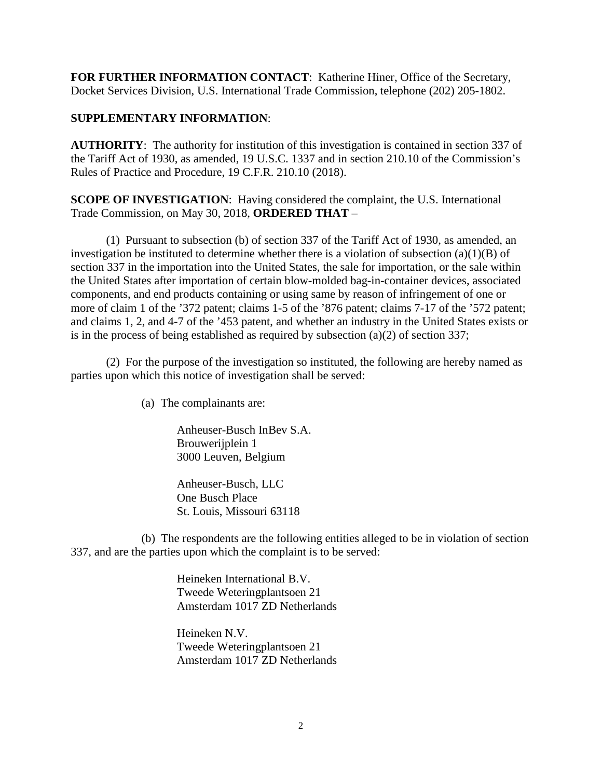**FOR FURTHER INFORMATION CONTACT**: Katherine Hiner, Office of the Secretary, Docket Services Division, U.S. International Trade Commission, telephone (202) 205-1802.

## **SUPPLEMENTARY INFORMATION**:

**AUTHORITY**: The authority for institution of this investigation is contained in section 337 of the Tariff Act of 1930, as amended, 19 U.S.C. 1337 and in section 210.10 of the Commission's Rules of Practice and Procedure, 19 C.F.R. 210.10 (2018).

**SCOPE OF INVESTIGATION**: Having considered the complaint, the U.S. International Trade Commission, on May 30, 2018, **ORDERED THAT** –

(1) Pursuant to subsection (b) of section 337 of the Tariff Act of 1930, as amended, an investigation be instituted to determine whether there is a violation of subsection  $(a)(1)(B)$  of section 337 in the importation into the United States, the sale for importation, or the sale within the United States after importation of certain blow-molded bag-in-container devices, associated components, and end products containing or using same by reason of infringement of one or more of claim 1 of the '372 patent; claims 1-5 of the '876 patent; claims 7-17 of the '572 patent; and claims 1, 2, and 4-7 of the '453 patent, and whether an industry in the United States exists or is in the process of being established as required by subsection (a)(2) of section 337;

(2) For the purpose of the investigation so instituted, the following are hereby named as parties upon which this notice of investigation shall be served:

(a) The complainants are:

Anheuser-Busch InBev S.A. Brouwerijplein 1 3000 Leuven, Belgium

Anheuser-Busch, LLC One Busch Place St. Louis, Missouri 63118

(b) The respondents are the following entities alleged to be in violation of section 337, and are the parties upon which the complaint is to be served:

> Heineken International B.V. Tweede Weteringplantsoen 21 Amsterdam 1017 ZD Netherlands

> Heineken N.V. Tweede Weteringplantsoen 21 Amsterdam 1017 ZD Netherlands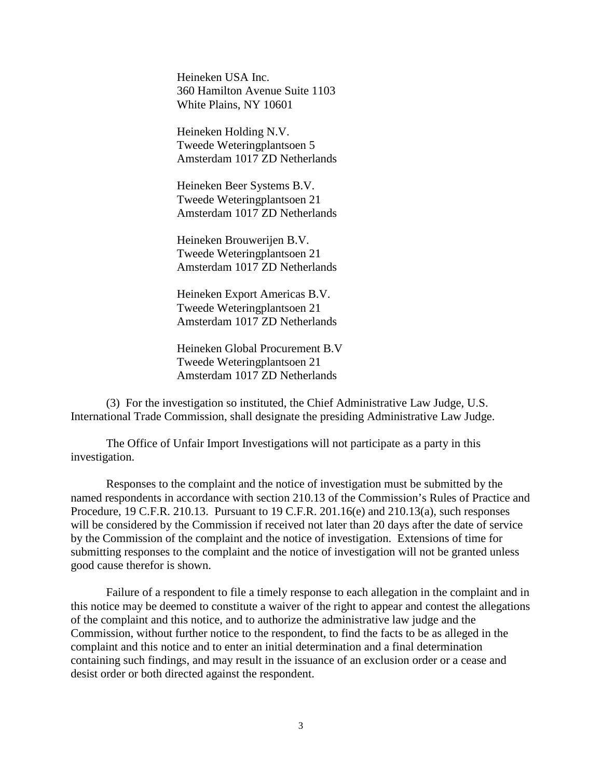Heineken USA Inc. 360 Hamilton Avenue Suite 1103 White Plains, NY 10601

Heineken Holding N.V. Tweede Weteringplantsoen 5 Amsterdam 1017 ZD Netherlands

Heineken Beer Systems B.V. Tweede Weteringplantsoen 21 Amsterdam 1017 ZD Netherlands

Heineken Brouwerijen B.V. Tweede Weteringplantsoen 21 Amsterdam 1017 ZD Netherlands

Heineken Export Americas B.V. Tweede Weteringplantsoen 21 Amsterdam 1017 ZD Netherlands

Heineken Global Procurement B.V Tweede Weteringplantsoen 21 Amsterdam 1017 ZD Netherlands

(3) For the investigation so instituted, the Chief Administrative Law Judge, U.S. International Trade Commission, shall designate the presiding Administrative Law Judge.

The Office of Unfair Import Investigations will not participate as a party in this investigation.

Responses to the complaint and the notice of investigation must be submitted by the named respondents in accordance with section 210.13 of the Commission's Rules of Practice and Procedure, 19 C.F.R. 210.13. Pursuant to 19 C.F.R. 201.16(e) and 210.13(a), such responses will be considered by the Commission if received not later than 20 days after the date of service by the Commission of the complaint and the notice of investigation. Extensions of time for submitting responses to the complaint and the notice of investigation will not be granted unless good cause therefor is shown.

Failure of a respondent to file a timely response to each allegation in the complaint and in this notice may be deemed to constitute a waiver of the right to appear and contest the allegations of the complaint and this notice, and to authorize the administrative law judge and the Commission, without further notice to the respondent, to find the facts to be as alleged in the complaint and this notice and to enter an initial determination and a final determination containing such findings, and may result in the issuance of an exclusion order or a cease and desist order or both directed against the respondent.